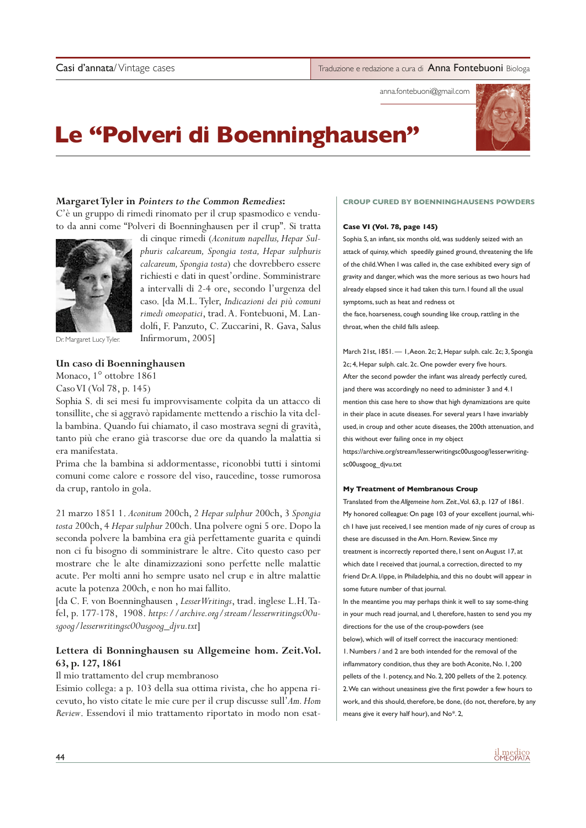Casi d'annata/ Vintage cases **Traduzione e redazione a cura di Anna Fontebuoni** Biologa

anna.fontebuoni@gmail.com

# **Le "Polveri di Boenninghausen"**

di cinque rimedi (*Aconitum napellus, Hepar Sulphuris calcareum, Spongia tosta, Hepar sulphuris calcareum, Spongia tosta*) che dovrebbero essere richiesti e dati in quest'ordine. Somministrare a intervalli di 2-4 ore, secondo l'urgenza del caso. [da M.L. Tyler, *Indicazioni dei più comuni rimedi omeopatici*, trad. A. Fontebuoni, M. Landolfi, F. Panzuto, C. Zuccarini, R. Gava, Salus

# **Margaret Tyler in** *Pointers to the Common Remedies***:**

C'è un gruppo di rimedi rinomato per il crup spasmodico e venduto da anni come "Polveri di Boenninghausen per il crup". Si tratta



Dr. Margaret Lucy Tyler.

# **Un caso di Boenninghausen**

Monaco, 1° ottobre 1861 Caso VI (Vol 78, p. 145)

Sophia S. di sei mesi fu improvvisamente colpita da un attacco di tonsillite, che si aggravò rapidamente mettendo a rischio la vita della bambina. Quando fui chiamato, il caso mostrava segni di gravità, tanto più che erano già trascorse due ore da quando la malattia si era manifestata.

Infirmorum, 2005]

Prima che la bambina si addormentasse, riconobbi tutti i sintomi comuni come calore e rossore del viso, raucedine, tosse rumorosa da crup, rantolo in gola.

21 marzo 1851 1. *Aconitum* 200ch, 2 *Hepar sulphur* 200ch, 3 *Spongia tosta* 200ch, 4 *Hepar sulphur* 200ch. Una polvere ogni 5 ore. Dopo la seconda polvere la bambina era già perfettamente guarita e quindi non ci fu bisogno di somministrare le altre. Cito questo caso per mostrare che le alte dinamizzazioni sono perfette nelle malattie acute. Per molti anni ho sempre usato nel crup e in altre malattie acute la potenza 200ch, e non ho mai fallito.

[da C. F. von Boenninghausen , *Lesser Writings*, trad. inglese L.H. Tafel, p. 177-178, 1908. *https://archive.org/stream/lesserwritingsc00usgoog/lesserwritingsc00usgoog\_djvu.txt*]

# **Lettera di Bonninghausen su Allgemeine hom. Zeit.Vol. 63, p. 127, 1861**

Il mio trattamento del crup membranoso

Esimio collega: a p. 103 della sua ottima rivista, che ho appena ricevuto, ho visto citate le mie cure per il crup discusse sull'*Am. Hom Review*. Essendovi il mio trattamento riportato in modo non esat-

# **CROUP CURED BY BOENNINGHAUSENS POWDERS**

### **Case VI (Vol. 78, page 145)**

Sophia S, an infant, six months old, was suddenly seized with an attack of quinsy, which speedily gained ground, threatening the life of the child. When I was called in, the case exhibited every sign of gravity and danger, which was the more serious as two hours had already elapsed since it had taken this turn. I found all the usual symptoms, such as heat and redness ot the face, hoarseness, cough sounding like croup, rattling in the throat, when the child falls asleep.

March 21st, 1851. — 1, Aeon. 2c; 2, Hepar sulph. calc. 2c; 3, Spongia 2c; 4, Hepar sulph. calc. 2c. One powder every five hours. After the second powder the infant was already perfectly cured, jand there was accordingly no need to administer 3 and 4. I mention this case here to show that high dynamizations are quite in their place in acute diseases. For several years I have invariably used, in croup and other acute diseases, the 200th attenuation, and this without ever failing once in my object https://archive.org/stream/lesserwritingsc00usgoog/lesserwritingsc00usgoog\_djvu.txt

#### **My Treatment of Membranous Croup**

Translated from the *Allgemeine horn. Zeit*., Vol. 63, p. 127 of 1861. My honored colleague: On page 103 of your excellent journal, which I have just received, I see mention made of njy cures of croup as these are discussed in the Am. Horn. Review. Since my treatment is incorrectly reported there, I sent on August 17, at which date I received that journal, a correction, directed to my friend Dr. A. I/ippe, in Philadelphia, and this no doubt will appear in some future number of that journal.

In the meantime you may perhaps think it well to say some-thing in your much read journal, and I, therefore, hasten to send you my directions for the use of the croup-powders (see below), which will of itself correct the inaccuracy mentioned: 1. Numbers / and 2 are both intended for the removal of the inflammatory condition, thus they are both Aconite, No. 1, 200 pellets of the 1. potency, and No. 2, 200 pellets of the 2. potency. 2. We can without uneasiness give the first powder a few hours to work, and this should, therefore, be done, (do not, therefore, by any

means give it every half hour), and No\*. 2,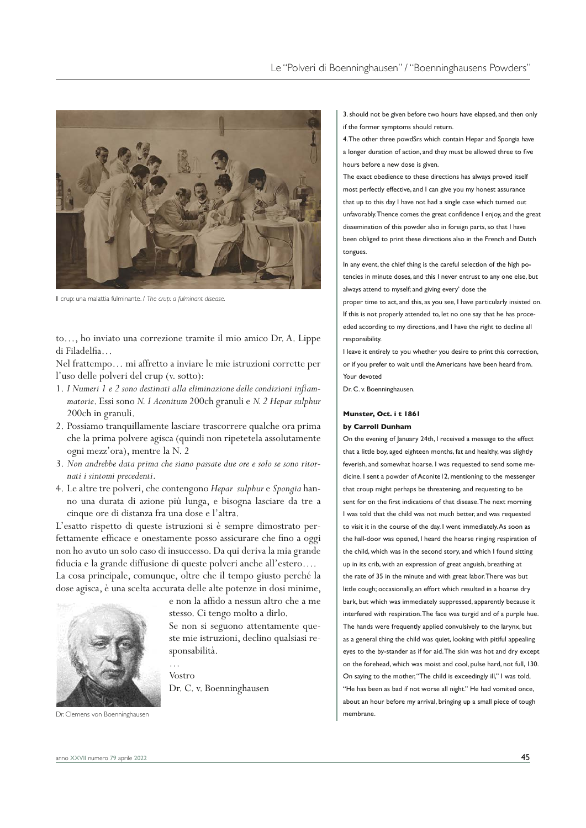

Il crup: una malattia fulminante. / *The crup: a fulminant disease.*

to…, ho inviato una correzione tramite il mio amico Dr. A. Lippe di Filadelfia…

Nel frattempo… mi affretto a inviare le mie istruzioni corrette per l'uso delle polveri del crup (v. sotto):

- 1. *I Numeri 1 e 2 sono destinati alla eliminazione delle condizioni infiammatorie*. Essi sono *N. 1 Aconitum* 200ch granuli e *N. 2 Hepar sulphur* 200ch in granuli.
- 2. Possiamo tranquillamente lasciare trascorrere qualche ora prima che la prima polvere agisca (quindi non ripetetela assolutamente ogni mezz'ora), mentre la N. 2
- 3. *Non andrebbe data prima che siano passate due ore e solo se sono ritornati i sintomi precedenti*.
- 4. Le altre tre polveri, che contengono *Hepar sulphur* e *Spongia* hanno una durata di azione più lunga, e bisogna lasciare da tre a cinque ore di distanza fra una dose e l'altra.

L'esatto rispetto di queste istruzioni si è sempre dimostrato perfettamente efficace e onestamente posso assicurare che fino a oggi non ho avuto un solo caso di insuccesso. Da qui deriva la mia grande fiducia e la grande diffusione di queste polveri anche all'estero…. La cosa principale, comunque, oltre che il tempo giusto perché la dose agisca, è una scelta accurata delle alte potenze in dosi minime,

…



e non la affido a nessun altro che a me stesso. Ci tengo molto a dirlo.

Se non si seguono attentamente queste mie istruzioni, declino qualsiasi responsabilità.

Vostro Dr. C. v. Boenninghausen 3. should not be given before two hours have elapsed, and then only if the former symptoms should return.

4. The other three powdSrs which contain Hepar and Spongia have a longer duration of action, and they must be allowed three to five hours before a new dose is given.

The exact obedience to these directions has always proved itself most perfectly effective, and I can give you my honest assurance that up to this day I have not had a single case which turned out unfavorably. Thence comes the great confidence I enjoy, and the great dissemination of this powder also in foreign parts, so that I have been obliged to print these directions also in the French and Dutch tongues.

In any event, the chief thing is the careful selection of the high potencies in minute doses, and this I never entrust to any one else, but always attend to myself; and giving every' dose the

proper time to act, and this, as you see, I have particularly insisted on. If this is not properly attended to, let no one say that he has proceeded according to my directions, and I have the right to decline all responsibility.

I leave it entirely to you whether you desire to print this correction, or if you prefer to wait until the Americans have been heard from. Your devoted

Dr. C. v. Boenninghausen.

## **Munster, Oct. i t 1861 by Carroll Dunham**

On the evening of January 24th, I received a message to the effect that a little boy, aged eighteen months, fat and healthy, was slightly feverish, and somewhat hoarse. I was requested to send some medicine. I sent a powder of Aconite12, mentioning to the messenger that croup might perhaps be threatening, and requesting to be sent for on the first indications of that disease. The next morning I was told that the child was not much better, and was requested to visit it in the course of the day. I went immediately. As soon as the hall-door was opened, I heard the hoarse ringing respiration of the child, which was in the second story, and which I found sitting up in its crib, with an expression of great anguish, breathing at the rate of 35 in the minute and with great labor. There was but little cough; occasionally, an effort which resulted in a hoarse dry bark, but which was immediately suppressed, apparently because it interfered with respiration. The face was turgid and of a purple hue. The hands were frequently applied convulsively to the larynx, but as a general thing the child was quiet, looking with pitiful appealing eyes to the by-stander as if for aid. The skin was hot and dry except on the forehead, which was moist and cool, pulse hard, not full, 130. On saying to the mother, "The child is exceedingly ill," I was told, "He has been as bad if not worse all night." He had vomited once, about an hour before my arrival, bringing up a small piece of tough membrane.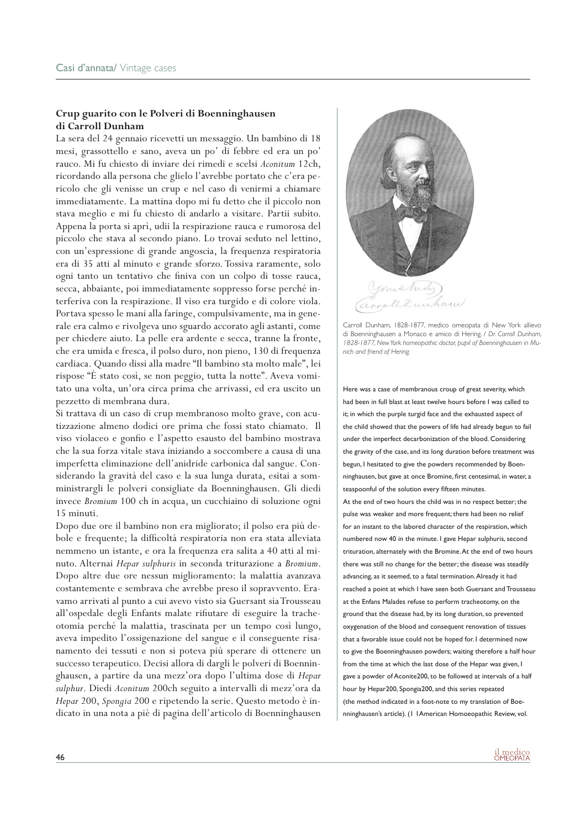# **Crup guarito con le Polveri di Boenninghausen di Carroll Dunham**

La sera del 24 gennaio ricevetti un messaggio. Un bambino di 18 mesi, grassottello e sano, aveva un po' di febbre ed era un po' rauco. Mi fu chiesto di inviare dei rimedi e scelsi *Aconitum* 12ch, ricordando alla persona che glielo l'avrebbe portato che c'era pericolo che gli venisse un crup e nel caso di venirmi a chiamare immediatamente. La mattina dopo mi fu detto che il piccolo non stava meglio e mi fu chiesto di andarlo a visitare. Partii subito. Appena la porta si aprì, udii la respirazione rauca e rumorosa del piccolo che stava al secondo piano. Lo trovai seduto nel lettino, con un'espressione di grande angoscia, la frequenza respiratoria era di 35 atti al minuto e grande sforzo. Tossiva raramente, solo ogni tanto un tentativo che finiva con un colpo di tosse rauca, secca, abbaiante, poi immediatamente soppresso forse perché interferiva con la respirazione. Il viso era turgido e di colore viola. Portava spesso le mani alla faringe, compulsivamente, ma in generale era calmo e rivolgeva uno sguardo accorato agli astanti, come per chiedere aiuto. La pelle era ardente e secca, tranne la fronte, che era umida e fresca, il polso duro, non pieno, 130 di frequenza cardiaca. Quando dissi alla madre "Il bambino sta molto male", lei rispose "È stato così, se non peggio, tutta la notte". Aveva vomitato una volta, un'ora circa prima che arrivassi, ed era uscito un pezzetto di membrana dura.

Si trattava di un caso di crup membranoso molto grave, con acutizzazione almeno dodici ore prima che fossi stato chiamato. Il viso violaceo e gonfio e l'aspetto esausto del bambino mostrava che la sua forza vitale stava iniziando a soccombere a causa di una imperfetta eliminazione dell'anidride carbonica dal sangue. Considerando la gravità del caso e la sua lunga durata, esitai a somministrargli le polveri consigliate da Boenninghausen. Gli diedi invece *Bromium* 100 ch in acqua, un cucchiaino di soluzione ogni 15 minuti.

Dopo due ore il bambino non era migliorato; il polso era più debole e frequente; la difficoltà respiratoria non era stata alleviata nemmeno un istante, e ora la frequenza era salita a 40 atti al minuto. Alternai *Hepar sulphuris* in seconda triturazione a *Bromium*. Dopo altre due ore nessun miglioramento: la malattia avanzava costantemente e sembrava che avrebbe preso il sopravvento. Eravamo arrivati al punto a cui avevo visto sia Guersant sia Trousseau all'ospedale degli Enfants malate rifiutare di eseguire la tracheotomia perché la malattia, trascinata per un tempo così lungo, aveva impedito l'ossigenazione del sangue e il conseguente risanamento dei tessuti e non si poteva più sperare di ottenere un successo terapeutico. Decisi allora di dargli le polveri di Boenninghausen, a partire da una mezz'ora dopo l'ultima dose di *Hepar sulphur*. Diedi *Aconitum* 200ch seguito a intervalli di mezz'ora da *Hepar* 200, *Spongia* 200 e ripetendo la serie. Questo metodo è indicato in una nota a piè di pagina dell'articolo di Boenninghausen



Carroll Dunham, 1828-1877, medico omeopata di New York allievo di Boenninghausen a Monaco e amico di Hering. / *Dr. Carroll Dunham, 1828-1877, New York homeopathic doctor, pupil of Boenninghausen in Munich and friend of Hering.*

Here was a case of membranous croup of great severity, which had been in full blast at least twelve hours before I was called to it; in which the purple turgid face and the exhausted aspect of the child showed that the powers of life had already begun to fail under the imperfect decarbonization of the blood. Considering the gravity of the case, and its long duration before treatment was begun, I hesitated to give the powders recommended by Boenninghausen, but gave at once Bromine, first centesimal, in water, a teaspoonful of the solution every fifteen minutes.

At the end of two hours the child was in no respect better; the pulse was weaker and more frequent; there had been no relief for an instant to the labored character of the respiration, which numbered now 40 in the minute. I gave Hepar sulphuris, second trituration, alternately with the Bromine. At the end of two hours there was still no change for the better; the disease was steadily advancing, as it seemed, to a fatal termination. Already it had reached a point at which I have seen both Guersant and Trousseau at the Enfans Malades refuse to perform tracheotomy, on the ground that the disease had, by its long duration, so prevented oxygenation of the blood and consequent renovation of tissues that a favorable issue could not be hoped for. I determined now to give the Boenninghausen powders; waiting therefore a half hour from the time at which the last dose of the Hepar was given, I gave a powder of Aconite200, to be followed at intervals of a half hour by Hepar200, Spongia200, and this series repeated (the method indicated in a foot-note to my translation of Boenninghausen's article). (1 1American Homoeopathic Review, vol.